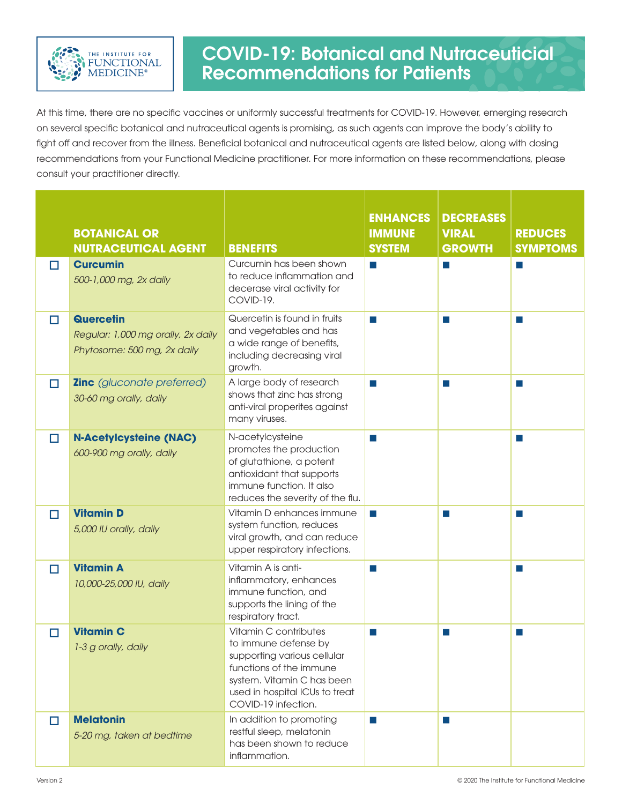

## COVID-19: Botanical and Nutraceuticial Recommendations for Patients

At this time, there are no specific vaccines or uniformly successful treatments for COVID-19. However, emerging research on several specific botanical and nutraceutical agents is promising, as such agents can improve the body's ability to fight off and recover from the illness. Beneficial botanical and nutraceutical agents are listed below, along with dosing recommendations from your Functional Medicine practitioner. For more information on these recommendations, please consult your practitioner directly.

|        | <b>BOTANICAL OR</b><br><b>NUTRACEUTICAL AGENT</b>                                     | <b>BENEFITS</b>                                                                                                                                                                                | <b>ENHANCES</b><br><b>IMMUNE</b><br><b>SYSTEM</b> | <b>DECREASES</b><br><b>VIRAL</b><br><b>GROWTH</b> | <b>REDUCES</b><br><b>SYMPTOMS</b> |
|--------|---------------------------------------------------------------------------------------|------------------------------------------------------------------------------------------------------------------------------------------------------------------------------------------------|---------------------------------------------------|---------------------------------------------------|-----------------------------------|
| $\Box$ | <b>Curcumin</b><br>500-1,000 mg, 2x daily                                             | Curcumin has been shown<br>to reduce inflammation and<br>decerase viral activity for<br>COVID-19.                                                                                              | $\mathcal{C}^{\mathcal{A}}$                       | a s                                               | a s                               |
| $\Box$ | <b>Quercetin</b><br>Regular: 1,000 mg orally, 2x daily<br>Phytosome: 500 mg, 2x daily | Quercetin is found in fruits<br>and vegetables and has<br>a wide range of benefits,<br>including decreasing viral<br>growth.                                                                   | $\sim$                                            | a s                                               | a s                               |
| $\Box$ | <b>Zinc</b> (gluconate preferred)<br>30-60 mg orally, daily                           | A large body of research<br>shows that zinc has strong<br>anti-viral properites against<br>many viruses.                                                                                       | $\sim$                                            | $\sim$                                            | a a                               |
| $\Box$ | <b>N-Acetylcysteine (NAC)</b><br>600-900 mg orally, daily                             | N-acetylcysteine<br>promotes the production<br>of glutathione, a potent<br>antioxidant that supports<br>immune function. It also<br>reduces the severity of the flu.                           | $\sim$                                            |                                                   | a a                               |
| $\Box$ | <b>Vitamin D</b><br>5,000 IU orally, daily                                            | Vitamin D enhances immune<br>system function, reduces<br>viral growth, and can reduce<br>upper respiratory infections.                                                                         | a a                                               | a a                                               | a a                               |
| $\Box$ | <b>Vitamin A</b><br>10,000-25,000 IU, daily                                           | Vitamin A is anti-<br>inflammatory, enhances<br>immune function, and<br>supports the lining of the<br>respiratory tract.                                                                       | m.                                                |                                                   | a a                               |
| $\Box$ | <b>Vitamin C</b><br>1-3 g orally, daily                                               | Vitamin C contributes<br>to immune defense by<br>supporting various cellular<br>functions of the immune<br>system. Vitamin C has been<br>used in hospital ICUs to treat<br>COVID-19 infection. | a a                                               | a a                                               | a.                                |
| $\Box$ | <b>Melatonin</b><br>5-20 mg, taken at bedtime                                         | In addition to promoting<br>restful sleep, melatonin<br>has been shown to reduce<br>inflammation.                                                                                              | a a                                               | a a                                               |                                   |